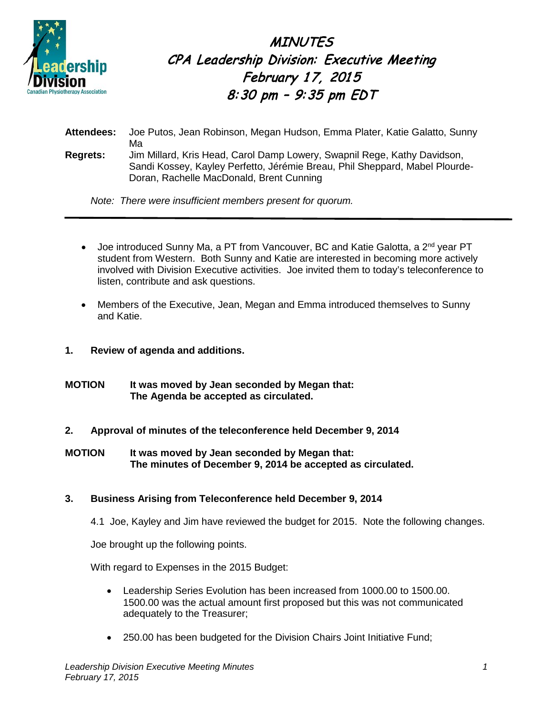

**MINUTES** CPA Leadership Division: Executive Meeting February 17, 2015 8:30 pm – 9:35 pm EDT

**Attendees:** Joe Putos, Jean Robinson, Megan Hudson, Emma Plater, Katie Galatto, Sunny Ma **Regrets:** Jim Millard, Kris Head, Carol Damp Lowery, Swapnil Rege, Kathy Davidson, Sandi Kossey, Kayley Perfetto, Jérémie Breau, Phil Sheppard, Mabel Plourde-Doran, Rachelle MacDonald, Brent Cunning

*Note: There were insufficient members present for quorum.*

- Joe introduced Sunny Ma, a PT from Vancouver, BC and Katie Galotta, a 2<sup>nd</sup> year PT student from Western. Both Sunny and Katie are interested in becoming more actively involved with Division Executive activities. Joe invited them to today's teleconference to listen, contribute and ask questions.
- Members of the Executive, Jean, Megan and Emma introduced themselves to Sunny and Katie.
- **1. Review of agenda and additions.**
- **MOTION It was moved by Jean seconded by Megan that: The Agenda be accepted as circulated.**
- **2. Approval of minutes of the teleconference held December 9, 2014**
- **MOTION It was moved by Jean seconded by Megan that: The minutes of December 9, 2014 be accepted as circulated.**
- **3. Business Arising from Teleconference held December 9, 2014**
	- 4.1 Joe, Kayley and Jim have reviewed the budget for 2015. Note the following changes.

Joe brought up the following points.

With regard to Expenses in the 2015 Budget:

- Leadership Series Evolution has been increased from 1000.00 to 1500.00. 1500.00 was the actual amount first proposed but this was not communicated adequately to the Treasurer;
- 250.00 has been budgeted for the Division Chairs Joint Initiative Fund;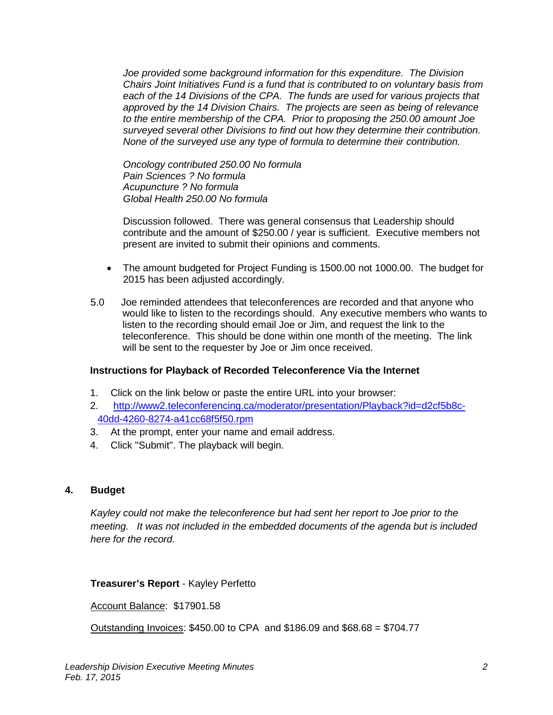*Joe provided some background information for this expenditure. The Division Chairs Joint Initiatives Fund is a fund that is contributed to on voluntary basis from*  each of the 14 Divisions of the CPA. The funds are used for various projects that *approved by the 14 Division Chairs. The projects are seen as being of relevance to the entire membership of the CPA. Prior to proposing the 250.00 amount Joe surveyed several other Divisions to find out how they determine their contribution. None of the surveyed use any type of formula to determine their contribution.*

*Oncology contributed 250.00 No formula Pain Sciences ? No formula Acupuncture ? No formula Global Health 250.00 No formula*

Discussion followed. There was general consensus that Leadership should contribute and the amount of \$250.00 / year is sufficient. Executive members not present are invited to submit their opinions and comments.

- The amount budgeted for Project Funding is 1500.00 not 1000.00. The budget for 2015 has been adjusted accordingly.
- 5.0 Joe reminded attendees that teleconferences are recorded and that anyone who would like to listen to the recordings should. Any executive members who wants to listen to the recording should email Joe or Jim, and request the link to the teleconference. This should be done within one month of the meeting. The link will be sent to the requester by Joe or Jim once received.

## **Instructions for Playback of Recorded Teleconference Via the Internet**

- 1. Click on the link below or paste the entire URL into your browser:
- 2. [http://www2.teleconferencing.ca/moderator/presentation/Playback?id=d2cf5b8c-](http://www2.teleconferencing.ca/moderator/presentation/Playback?id=d2cf5b8c-40dd-4260-8274-a41cc68f5f50.rpm)[40dd-4260-8274-a41cc68f5f50.rpm](http://www2.teleconferencing.ca/moderator/presentation/Playback?id=d2cf5b8c-40dd-4260-8274-a41cc68f5f50.rpm)
- 3. At the prompt, enter your name and email address.
- 4. Click "Submit". The playback will begin.

## **4. Budget**

*Kayley could not make the teleconference but had sent her report to Joe prior to the meeting. It was not included in the embedded documents of the agenda but is included here for the record.*

## **Treasurer's Report** - Kayley Perfetto

Account Balance: \$17901.58

Outstanding Invoices: \$450.00 to CPA and \$186.09 and \$68.68 = \$704.77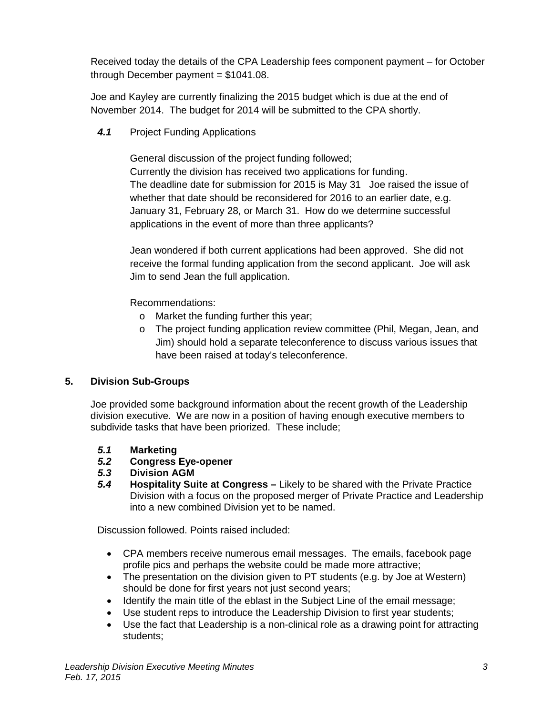Received today the details of the CPA Leadership fees component payment – for October through December payment  $= $1041.08$ .

Joe and Kayley are currently finalizing the 2015 budget which is due at the end of November 2014. The budget for 2014 will be submitted to the CPA shortly.

*4.1* Project Funding Applications

General discussion of the project funding followed; Currently the division has received two applications for funding. The deadline date for submission for 2015 is May 31 Joe raised the issue of whether that date should be reconsidered for 2016 to an earlier date, e.g. January 31, February 28, or March 31. How do we determine successful applications in the event of more than three applicants?

Jean wondered if both current applications had been approved. She did not receive the formal funding application from the second applicant. Joe will ask Jim to send Jean the full application.

Recommendations:

- o Market the funding further this year;
- o The project funding application review committee (Phil, Megan, Jean, and Jim) should hold a separate teleconference to discuss various issues that have been raised at today's teleconference.

# **5. Division Sub-Groups**

Joe provided some background information about the recent growth of the Leadership division executive. We are now in a position of having enough executive members to subdivide tasks that have been priorized. These include;

- *5.1* **Marketing**
- *5.2* **Congress Eye-opener**
- *5.3* **Division AGM**
- *5.4* **Hospitality Suite at Congress –** Likely to be shared with the Private Practice Division with a focus on the proposed merger of Private Practice and Leadership into a new combined Division yet to be named.

Discussion followed. Points raised included:

- CPA members receive numerous email messages. The emails, facebook page profile pics and perhaps the website could be made more attractive;
- The presentation on the division given to PT students (e.g. by Joe at Western) should be done for first years not just second years;
- Identify the main title of the eblast in the Subject Line of the email message;
- Use student reps to introduce the Leadership Division to first year students;
- Use the fact that Leadership is a non-clinical role as a drawing point for attracting students;